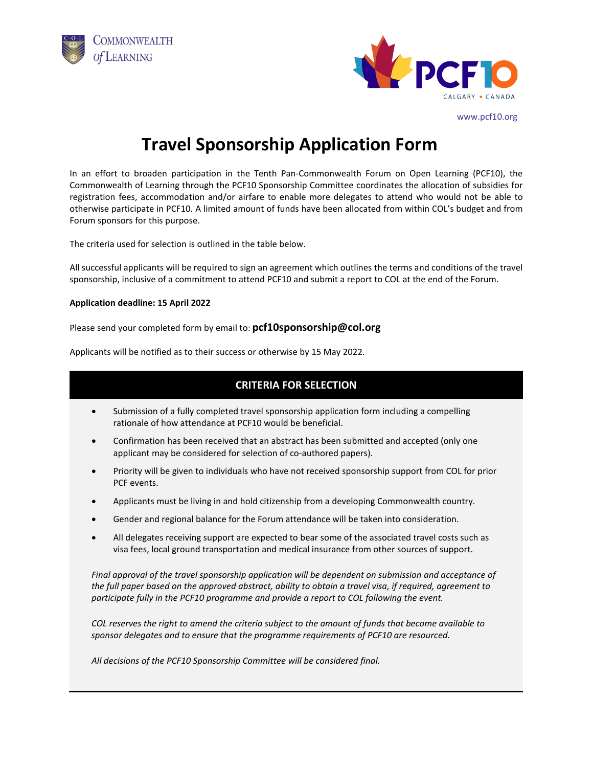



www.pcf10.org

## **Travel Sponsorship Application Form**

In an effort to broaden participation in the Tenth Pan-Commonwealth Forum on Open Learning (PCF10), the Commonwealth of Learning through the PCF10 Sponsorship Committee coordinates the allocation of subsidies for registration fees, accommodation and/or airfare to enable more delegates to attend who would not be able to otherwise participate in PCF10. A limited amount of funds have been allocated from within COL's budget and from Forum sponsors for this purpose.

The criteria used for selection is outlined in the table below.

All successful applicants will be required to sign an agreement which outlines the terms and conditions of the travel sponsorship, inclusive of a commitment to attend PCF10 and submit a report to COL at the end of the Forum.

## **Application deadline: 15 April 2022**

Please send your completed form by email to: **pcf10sponsorship@col.org**

Applicants will be notified as to their success or otherwise by 15 May 2022.

## **CRITERIA FOR SELECTION**

- Submission of a fully completed travel sponsorship application form including a compelling rationale of how attendance at PCF10 would be beneficial.
- Confirmation has been received that an abstract has been submitted and accepted (only one applicant may be considered for selection of co-authored papers).
- Priority will be given to individuals who have not received sponsorship support from COL for prior PCF events.
- Applicants must be living in and hold citizenship from a developing Commonwealth country.
- Gender and regional balance for the Forum attendance will be taken into consideration.
- All delegates receiving support are expected to bear some of the associated travel costs such as visa fees, local ground transportation and medical insurance from other sources of support.

*Final approval of the travel sponsorship application will be dependent on submission and acceptance of the full paper based on the approved abstract, ability to obtain a travel visa, if required, agreement to participate fully in the PCF10 programme and provide a report to COL following the event.*

*COL reserves the right to amend the criteria subject to the amount of funds that become available to sponsor delegates and to ensure that the programme requirements of PCF10 are resourced.*

*All decisions of the PCF10 Sponsorship Committee will be considered final.*